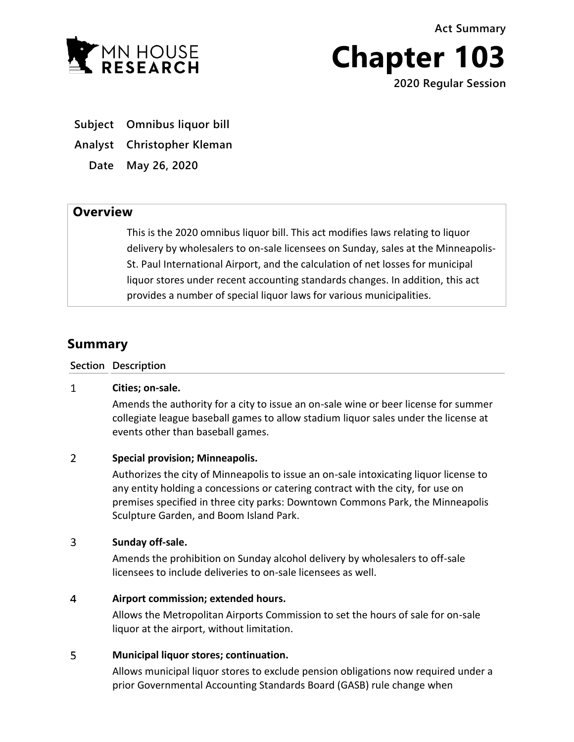**Act Summary**



**Chapter 103**

**2020 Regular Session**

**Subject Omnibus liquor bill**

**Analyst Christopher Kleman**

**Date May 26, 2020**

## **Overview**

This is the 2020 omnibus liquor bill. This act modifies laws relating to liquor delivery by wholesalers to on-sale licensees on Sunday, sales at the Minneapolis-St. Paul International Airport, and the calculation of net losses for municipal liquor stores under recent accounting standards changes. In addition, this act provides a number of special liquor laws for various municipalities.

# **Summary**

**Section Description**

#### $\mathbf{1}$ **Cities; on-sale.**

Amends the authority for a city to issue an on-sale wine or beer license for summer collegiate league baseball games to allow stadium liquor sales under the license at events other than baseball games.

#### $\overline{2}$ **Special provision; Minneapolis.**

Authorizes the city of Minneapolis to issue an on-sale intoxicating liquor license to any entity holding a concessions or catering contract with the city, for use on premises specified in three city parks: Downtown Commons Park, the Minneapolis Sculpture Garden, and Boom Island Park.

#### $\overline{3}$ **Sunday off-sale.**

Amends the prohibition on Sunday alcohol delivery by wholesalers to off-sale licensees to include deliveries to on-sale licensees as well.

#### $\overline{4}$ **Airport commission; extended hours.**

Allows the Metropolitan Airports Commission to set the hours of sale for on-sale liquor at the airport, without limitation.

#### 5 **Municipal liquor stores; continuation.**

Allows municipal liquor stores to exclude pension obligations now required under a prior Governmental Accounting Standards Board (GASB) rule change when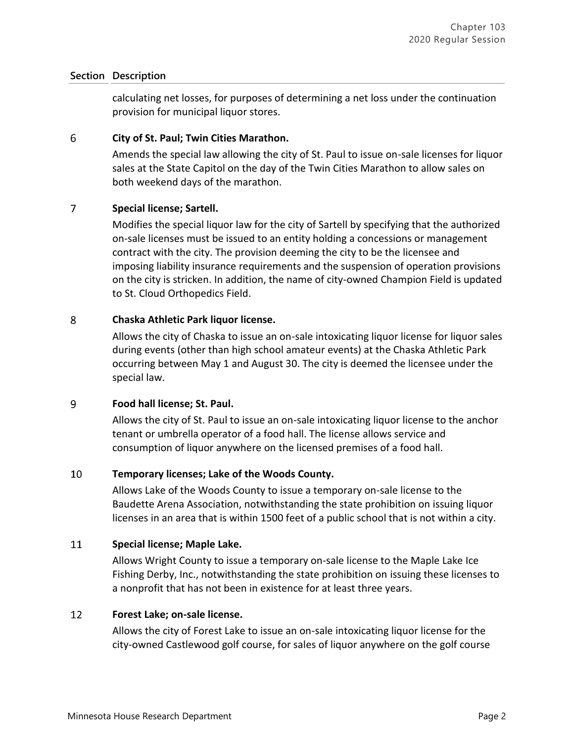### **Section Description**

calculating net losses, for purposes of determining a net loss under the continuation provision for municipal liquor stores.

#### 6 **City of St. Paul; Twin Cities Marathon.**

Amends the special law allowing the city of St. Paul to issue on-sale licenses for liquor sales at the State Capitol on the day of the Twin Cities Marathon to allow sales on both weekend days of the marathon.

#### $\overline{7}$ **Special license; Sartell.**

Modifies the special liquor law for the city of Sartell by specifying that the authorized on-sale licenses must be issued to an entity holding a concessions or management contract with the city. The provision deeming the city to be the licensee and imposing liability insurance requirements and the suspension of operation provisions on the city is stricken. In addition, the name of city-owned Champion Field is updated to St. Cloud Orthopedics Field.

#### 8 **Chaska Athletic Park liquor license.**

Allows the city of Chaska to issue an on-sale intoxicating liquor license for liquor sales during events (other than high school amateur events) at the Chaska Athletic Park occurring between May 1 and August 30. The city is deemed the licensee under the special law.

#### 9 **Food hall license; St. Paul.**

Allows the city of St. Paul to issue an on-sale intoxicating liquor license to the anchor tenant or umbrella operator of a food hall. The license allows service and consumption of liquor anywhere on the licensed premises of a food hall.

#### 10 **Temporary licenses; Lake of the Woods County.**

Allows Lake of the Woods County to issue a temporary on-sale license to the Baudette Arena Association, notwithstanding the state prohibition on issuing liquor licenses in an area that is within 1500 feet of a public school that is not within a city.

#### 11 **Special license; Maple Lake.**

Allows Wright County to issue a temporary on-sale license to the Maple Lake Ice Fishing Derby, Inc., notwithstanding the state prohibition on issuing these licenses to a nonprofit that has not been in existence for at least three years.

#### 12 **Forest Lake; on-sale license.**

Allows the city of Forest Lake to issue an on-sale intoxicating liquor license for the city-owned Castlewood golf course, for sales of liquor anywhere on the golf course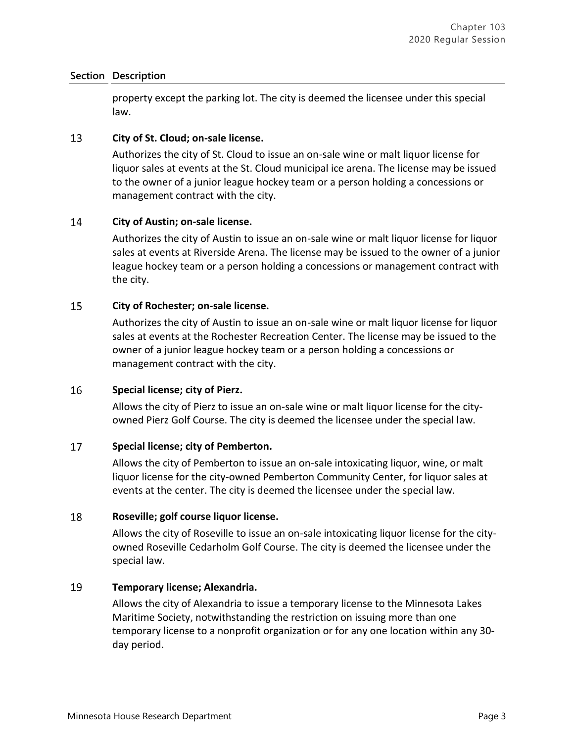### **Section Description**

property except the parking lot. The city is deemed the licensee under this special law.

#### 13 **City of St. Cloud; on-sale license.**

Authorizes the city of St. Cloud to issue an on-sale wine or malt liquor license for liquor sales at events at the St. Cloud municipal ice arena. The license may be issued to the owner of a junior league hockey team or a person holding a concessions or management contract with the city.

#### 14 **City of Austin; on-sale license.**

Authorizes the city of Austin to issue an on-sale wine or malt liquor license for liquor sales at events at Riverside Arena. The license may be issued to the owner of a junior league hockey team or a person holding a concessions or management contract with the city.

#### 15 **City of Rochester; on-sale license.**

Authorizes the city of Austin to issue an on-sale wine or malt liquor license for liquor sales at events at the Rochester Recreation Center. The license may be issued to the owner of a junior league hockey team or a person holding a concessions or management contract with the city.

#### 16 **Special license; city of Pierz.**

Allows the city of Pierz to issue an on-sale wine or malt liquor license for the cityowned Pierz Golf Course. The city is deemed the licensee under the special law.

#### 17 **Special license; city of Pemberton.**

Allows the city of Pemberton to issue an on-sale intoxicating liquor, wine, or malt liquor license for the city-owned Pemberton Community Center, for liquor sales at events at the center. The city is deemed the licensee under the special law.

#### 18 **Roseville; golf course liquor license.**

Allows the city of Roseville to issue an on-sale intoxicating liquor license for the cityowned Roseville Cedarholm Golf Course. The city is deemed the licensee under the special law.

#### 19 **Temporary license; Alexandria.**

Allows the city of Alexandria to issue a temporary license to the Minnesota Lakes Maritime Society, notwithstanding the restriction on issuing more than one temporary license to a nonprofit organization or for any one location within any 30 day period.